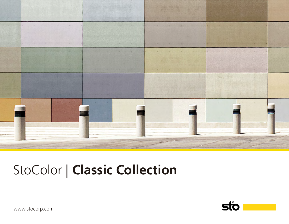

# StoColor | **Classic Collection**



www.stocorp.com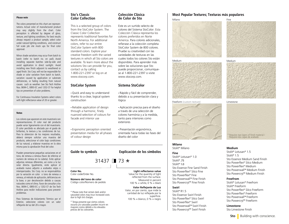#### **Please note**

The colors presented on this chart are representations. Actual color of manufactured product may vary slightly from the chart. Color perception is affected by degree of gloss, texture, and lighting conditions. For best results always request a product sample, select color under natural lighting conditions, and construct full scale job site mock ups for final color approval.

Minor shade variations may occur from batch to batch (refer to batch no. on pail). Avoid installing separate batches side-by-side and avoid application in direct sunlight. Avoid installing new finish adjacent to weathered or aged finish. Sto Corp. will not be responsible for shade or color variation from batch to batch, variation caused by application or substrate deficiencies, or fading resulting from natural causes such as weather. See Sto Tech Hotline Nos. 0694-C, 0893-EC and 1202-CF for helpful tips on prevention of color problems.

For Continuous Insulation Systems select colors with light reflectance value of 20 or greater.

#### **Notas**

Los colores que aparecen en este muestrario son representaciones. El color real del producto puede variar ligeramente con el del muestrario. El color percibido es afectado por el grado de brillantez, la textura y las condiciones de luz. Para la obtencion de los mejores resultados, deberá siempre solicitar una muestra del producto, seleccionar el color bajo condiciones de luz natural, y elaborar muestras en la obra misma para la aprobación final del color.

Pueden presentarse pequeñas variaciones en el tono, de remesa a remesa (favor de referirse al numero de remesa en la cubeta). Evite aplicar adjuntas remesas diferentes, así como a la luz solar directa. Igualmente, evite aplicar el acabado nuevo adjunto a acabados viejos o intemperizados. Sto Corp. no se responsabiliza por la variación en color o tono de remesa a remesa, al método de aplicación, deficiencias en la base, o por decoloración debido a causas naturales como el clima. Favor de consultar a los Nos. 0694-C, 0893-EC y 1202-CF de Sto Tech Hotline para recibir indicaciones para prevenir problemas.

Para Sistemas de Aislamiento Térmico por el Exterior, seleccione colores con un valor reflejante de luz del 20 o mayor.

#### **Sto's Classic Color Collection**

This is a selected group of colors from the StoColor System. The Classic Color Collection represents traditional favorites for North America. For additional colors, refer to our entire StoColor System with 800 standard colors. Explore your creative freedom with the varied textures in which all Sto colors are available. To learn more about the solutions Sto can provide for you, contact us by calling 1-800-221-2397 or log on at www.stocorp.com.

## **StoColor System**

• Quick and easy to understand thanks to a clear, logical system construction

• Reliable application of design through a harmonic, finely nuanced selection of colours for facade and interior use

• Ergonomic perception oriented presentation media for all phases of colour design

**Color No.**

Color code/Order No.

**Número del tono de color** Código color/Número de pedido

\* Please note that certain dark and/or saturated colors may incur increased costs due to high tint charges.

\* Tenga presente que ciertos colores oscuros y/o saturados pueden incurrir en mayores costos debido a los elevados precios de los colorantes.

#### **Colección Clásica de Color de Sto**

Este es un surtido selecto de colores del Sistema StoColor. Esta Colección Clásica representa los colores preferidos en Norte America. Para colores adicionales, refierase a la colección completa StoColor System de 800 colores. Pruebe su creatividad con las variedades de texturas en las cuales todos los colores Sto están disponibles. Para aprender más sobre las soluciones que Sto puede proporcionar, comuníquese al 1-800-221-2397 o visite www.stocorp.com.

### **Sistema StoColor**

• Rápido y fácil de comprender, debido a su presentación clara y lógica

• Aplicación precisa para el diseño a través de una selección de colores harmónia y a la medida, tanto para interiores como exteriores

• Presentación ergonómica, orientada hacia todas las fases del diseño del color

#### **Guide to symbols Explicación de los símbolos**

31437 **1** 73  $\star$ 

**Light reflectance value**

Value for the quantity of light reflected from the surface. Measured in percent 100 % = white,  $0 \%$  = black

**Valor Reflejante de Luz** Valor, en por ciento, que mide la cantidad de luz reflejada por la superficie. 100 % = blanco, 0 % = negro

## **Most Popular Textures; Texturas más populares**



Stolit® Lotusan® 1.0 Stolit® .75 Stolit<sup>®</sup> 1.0

**Swirl** Stolit<sup>®</sup> R1.5

Sto Essence Fine Sand Finish Sto Powerflex® Silco Fine Sto Powerflex® Fine Sto Powerwall™ Fine Finish Sto Powercryl™ Fine Finish

Sto Essence Swirl Finish Sto Powerflex® Silco Swirl Sto Powerflex® Swirl Sto Powerwall™ Swirl Finish Sto Powercryl™ Swirl Finish





#### **Medium**

Stolit® Lotusan® 1.5 Stolit<sup>®</sup> 1.5 Sto Essence Medium Sand Finish Sto Powerflex® Silco Medium Sto Powerflex® Medium Sto Powerwall™ Medium Finish Sto Powercryl™ Medium Finish

#### **Freefrom**

Stolit® Lotusan® Freefrom Stolit® Freeform Sto Powerflex® Silco Freeform Sto Powerflex® Freeform Sto Powerwall™ Freeform Sto Powercryl™ Freeform

#### **Limestone**

Sto Limestone Finish

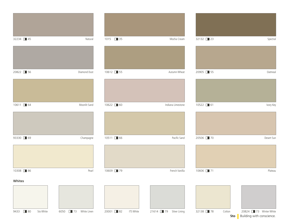| 32234 45 |                                 | Natural      | 1015 35   | Mocha Cream                         | 32132 23 | Spectral                                                            |
|----------|---------------------------------|--------------|-----------|-------------------------------------|----------|---------------------------------------------------------------------|
|          |                                 |              |           |                                     |          |                                                                     |
| 20822 36 |                                 | Diamond Dust | 10612 35  | Autumn Wheat                        | 20905 35 | Oatmeal                                                             |
|          |                                 |              |           |                                     |          |                                                                     |
| 10611 64 |                                 | Moonlit Sand | 10622 60  | Indiana Limestone                   | 10522 61 | Ivory Key                                                           |
|          |                                 |              |           |                                     |          |                                                                     |
| 93330 69 |                                 | Champagne    | 10511 366 | Pacific Sand                        | 20506 70 | Desert Sun                                                          |
|          |                                 |              |           |                                     |          |                                                                     |
| 10308 36 |                                 | Pearl        | 10609 79  | French Vanilla                      | 10606 71 | Plateau                                                             |
| Whites   |                                 |              |           |                                     |          |                                                                     |
|          |                                 |              |           |                                     |          |                                                                     |
| 9433 30  | Sto White<br>6050 3 White Linen |              | 20001 32  | ITS White<br>21614 79 Silver Lining | 32138 78 | 20824 73 Winter White<br>Cotton<br>Building with conscience.<br>Sto |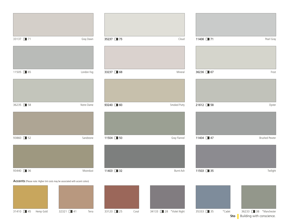| 33137 2 71 | Gray Dawn  | 35237 375 | Cloud        |
|------------|------------|-----------|--------------|
|            |            |           |              |
| 11505 3    | London Fog | 33237 368 | Mineral      |
|            |            |           |              |
| 36235 38   | Notre Dame | 93240 360 | Smoked Putty |
|            |            |           |              |
| 93860 32   | Sandstone  | 11504 30  | Gray Flannel |
|            |            |           |              |
| 93440 36   | Moondust   | 11403 32  | Burnt Ash    |





**Sto Building with conscience.** 

31410 45 Hemp Gold 32321 41 Terra 33120 25 Coral 34133 28 \*Violet Night 35333 35 \*Cadet 36233 38 \*Manchester Accents (Please note: Higher tint costs may be associated with accent colors)